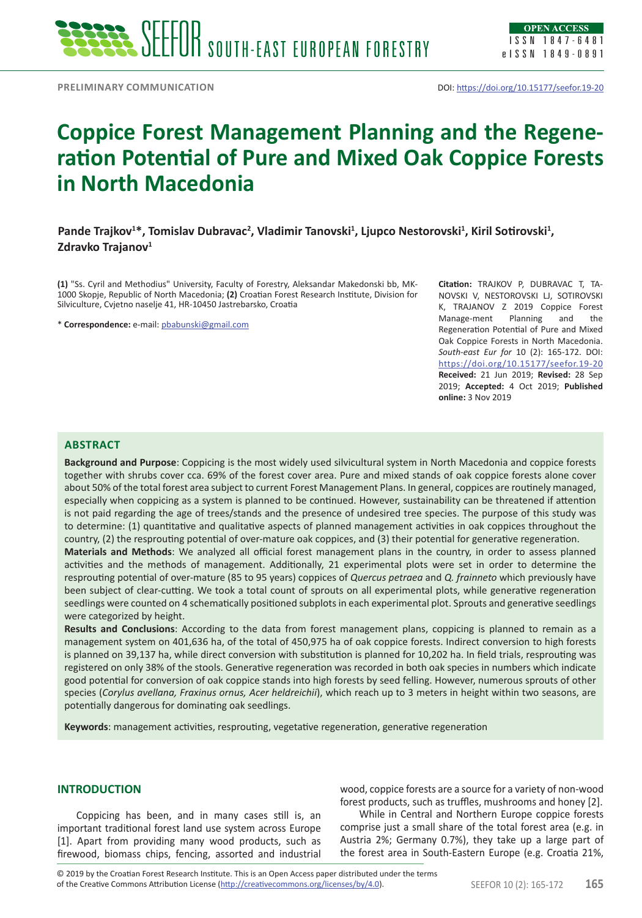

# **Coppice Forest Management Planning and the Regeneration Potential of Pure and Mixed Oak Coppice Forests in North Macedonia**

Pande Trajkov<sup>1\*</sup>, Tomislav Dubravac<sup>2</sup>, Vladimir Tanovski<sup>1</sup>, Ljupco Nestorovski<sup>1</sup>, Kiril Sotirovski<sup>1</sup>, Zdravko Trajanov<sup>1</sup>

**(1)** "Ss. Cyril and Methodius" University, Faculty of Forestry, Aleksandar Makedonski bb, MK-1000 Skopje, Republic of North Macedonia; **(2)** Croatian Forest Research Institute, Division for Silviculture, Cvjetno naselje 41, HR-10450 Jastrebarsko, Croatia

\* **Correspondence:** e-mail: [pbabunski@gmail.com](mailto:pbabunski@gmail.com)

**Citation:** TRAJKOV P, DUBRAVAC T, TA-NOVSKI V, NESTOROVSKI LJ, SOTIROVSKI K, TRAJANOV Z 2019 Coppice Forest Manage-ment Planning and the Regeneration Potential of Pure and Mixed Oak Coppice Forests in North Macedonia. *South-east Eur for* 10 (2): 165-172. DOI: <https://doi.org/10.15177/seefor.19-20> **Received:** 21 Jun 2019; **Revised:** 28 Sep 2019; **Accepted:** 4 Oct 2019; **Published online:** 3 Nov 2019

# **Abstract**

**Background and Purpose**: Coppicing is the most widely used silvicultural system in North Macedonia and coppice forests together with shrubs cover cca. 69% of the forest cover area. Pure and mixed stands of oak coppice forests alone cover about 50% of the total forest area subject to current Forest Management Plans. In general, coppices are routinely managed, especially when coppicing as a system is planned to be continued. However, sustainability can be threatened if attention is not paid regarding the age of trees/stands and the presence of undesired tree species. The purpose of this study was to determine: (1) quantitative and qualitative aspects of planned management activities in oak coppices throughout the country, (2) the resprouting potential of over-mature oak coppices, and (3) their potential for generative regeneration.

**Materials and Methods**: We analyzed all official forest management plans in the country, in order to assess planned activities and the methods of management. Additionally, 21 experimental plots were set in order to determine the resprouting potential of over-mature (85 to 95 years) coppices of *Quercus petraea* and *Q. frainneto* which previously have been subject of clear-cutting. We took a total count of sprouts on all experimental plots, while generative regeneration seedlings were counted on 4 schematically positioned subplots in each experimental plot. Sprouts and generative seedlings were categorized by height.

**Results and Conclusions**: According to the data from forest management plans, coppicing is planned to remain as a management system on 401,636 ha, of the total of 450,975 ha of oak coppice forests. Indirect conversion to high forests is planned on 39,137 ha, while direct conversion with substitution is planned for 10,202 ha. In field trials, resprouting was registered on only 38% of the stools. Generative regeneration was recorded in both oak species in numbers which indicate good potential for conversion of oak coppice stands into high forests by seed felling. However, numerous sprouts of other species (*Corylus avellana, Fraxinus ornus, Acer heldreichii*), which reach up to 3 meters in height within two seasons, are potentially dangerous for dominating oak seedlings.

**Keywords**: management activities, resprouting, vegetative regeneration, generative regeneration

# **INTRODUCTION**

Coppicing has been, and in many cases still is, an important traditional forest land use system across Europe [1]. Apart from providing many wood products, such as firewood, biomass chips, fencing, assorted and industrial wood, coppice forests are a source for a variety of non-wood forest products, such as truffles, mushrooms and honey [2].

While in Central and Northern Europe coppice forests comprise just a small share of the total forest area (e.g. in Austria 2%; Germany 0.7%), they take up a large part of the forest area in South-Eastern Europe (e.g. Croatia 21%,

of the Creative Commons Attribution License (<http://creativecommons.org/licenses/by/4.0>). SEEFOR 10 (2): 165-172 **165** © 2019 by the Croatian Forest Research Institute. This is an Open Access paper distributed under the terms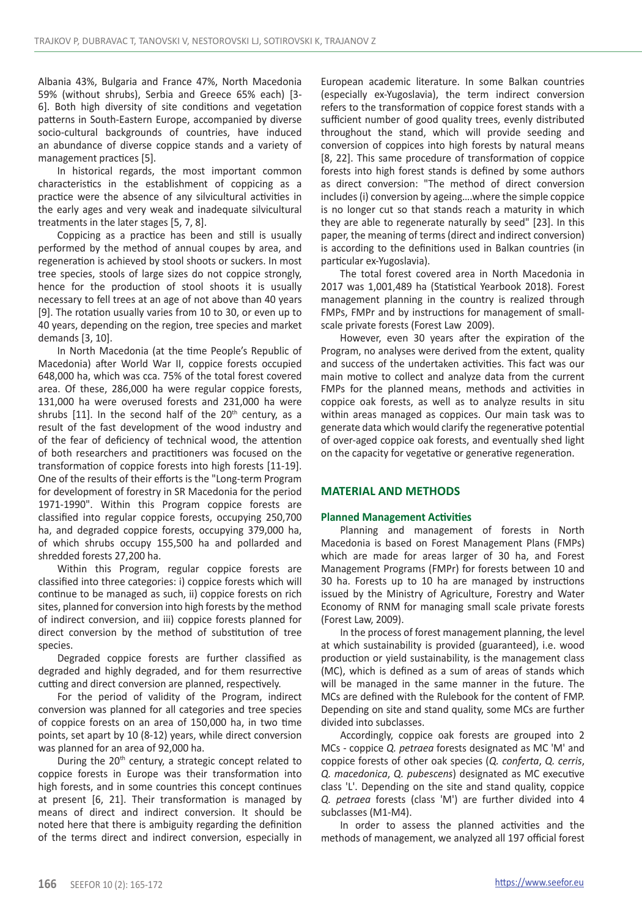Albania 43%, Bulgaria and France 47%, North Macedonia 59% (without shrubs), Serbia and Greece 65% each) [3- 6]. Both high diversity of site conditions and vegetation patterns in South-Eastern Europe, accompanied by diverse socio-cultural backgrounds of countries, have induced an abundance of diverse coppice stands and a variety of management practices [5].

In historical regards, the most important common characteristics in the establishment of coppicing as a practice were the absence of any silvicultural activities in the early ages and very weak and inadequate silvicultural treatments in the later stages [5, 7, 8].

Coppicing as a practice has been and still is usually performed by the method of annual coupes by area, and regeneration is achieved by stool shoots or suckers. In most tree species, stools of large sizes do not coppice strongly, hence for the production of stool shoots it is usually necessary to fell trees at an age of not above than 40 years [9]. The rotation usually varies from 10 to 30, or even up to 40 years, depending on the region, tree species and market demands [3, 10].

In North Macedonia (at the time People's Republic of Macedonia) after World War II, coppice forests occupied 648,000 ha, which was cca. 75% of the total forest covered area. Of these, 286,000 ha were regular coppice forests, 131,000 ha were overused forests and 231,000 ha were shrubs  $[11]$ . In the second half of the  $20<sup>th</sup>$  century, as a result of the fast development of the wood industry and of the fear of deficiency of technical wood, the attention of both researchers and practitioners was focused on the transformation of coppice forests into high forests [11-19]. One of the results of their efforts is the "Long-term Program for development of forestry in SR Macedonia for the period 1971-1990". Within this Program coppice forests are classified into regular coppice forests, occupying 250,700 ha, and degraded coppice forests, occupying 379,000 ha, of which shrubs occupy 155,500 ha and pollarded and shredded forests 27,200 ha.

Within this Program, regular coppice forests are classified into three categories: i) coppice forests which will continue to be managed as such, ii) coppice forests on rich sites, planned for conversion into high forests by the method of indirect conversion, and iii) coppice forests planned for direct conversion by the method of substitution of tree species.

Degraded coppice forests are further classified as degraded and highly degraded, and for them resurrective cutting and direct conversion are planned, respectively.

For the period of validity of the Program, indirect conversion was planned for all categories and tree species of coppice forests on an area of 150,000 ha, in two time points, set apart by 10 (8-12) years, while direct conversion was planned for an area of 92,000 ha.

During the  $20<sup>th</sup>$  century, a strategic concept related to coppice forests in Europe was their transformation into high forests, and in some countries this concept continues at present [6, 21]. Their transformation is managed by means of direct and indirect conversion. It should be noted here that there is ambiguity regarding the definition of the terms direct and indirect conversion, especially in European academic literature. In some Balkan countries (especially ex-Yugoslavia), the term indirect conversion refers to the transformation of coppice forest stands with a sufficient number of good quality trees, evenly distributed throughout the stand, which will provide seeding and conversion of coppices into high forests by natural means [8, 22]. This same procedure of transformation of coppice forests into high forest stands is defined by some authors as direct conversion: "The method of direct conversion includes (i) conversion by ageing….where the simple coppice is no longer cut so that stands reach a maturity in which they are able to regenerate naturally by seed" [23]. In this paper, the meaning of terms (direct and indirect conversion) is according to the definitions used in Balkan countries (in particular ex-Yugoslavia).

The total forest covered area in North Macedonia in 2017 was 1,001,489 ha (Statistical Yearbook 2018). Forest management planning in the country is realized through FMPs, FMPr and by instructions for management of smallscale private forests (Forest Law 2009).

However, even 30 years after the expiration of the Program, no analyses were derived from the extent, quality and success of the undertaken activities. This fact was our main motive to collect and analyze data from the current FMPs for the planned means, methods and activities in coppice oak forests, as well as to analyze results in situ within areas managed as coppices. Our main task was to generate data which would clarify the regenerative potential of over-aged coppice oak forests, and eventually shed light on the capacity for vegetative or generative regeneration.

# **MATERIAL AND METHODS**

### **Planned Management Activities**

Planning and management of forests in North Macedonia is based on Forest Management Plans (FMPs) which are made for areas larger of 30 ha, and Forest Management Programs (FMPr) for forests between 10 and 30 ha. Forests up to 10 ha are managed by instructions issued by the Ministry of Agriculture, Forestry and Water Economy of RNM for managing small scale private forests (Forest Law, 2009).

In the process of forest management planning, the level at which sustainability is provided (guaranteed), i.e. wood production or yield sustainability, is the management class (MC), which is defined as a sum of areas of stands which will be managed in the same manner in the future. The MCs are defined with the Rulebook for the content of FMP. Depending on site and stand quality, some MCs are further divided into subclasses.

Accordingly, coppice oak forests are grouped into 2 MCs - coppice *Q. petraea* forests designated as MC 'M' and coppice forests of other oak species (*Q. conferta*, *Q. cerris*, *Q. macedonica*, *Q. pubescens*) designated as MC executive class 'L'. Depending on the site and stand quality, coppice *Q. petraea* forests (class 'M') are further divided into 4 subclasses (M1-M4).

In order to assess the planned activities and the methods of management, we analyzed all 197 official forest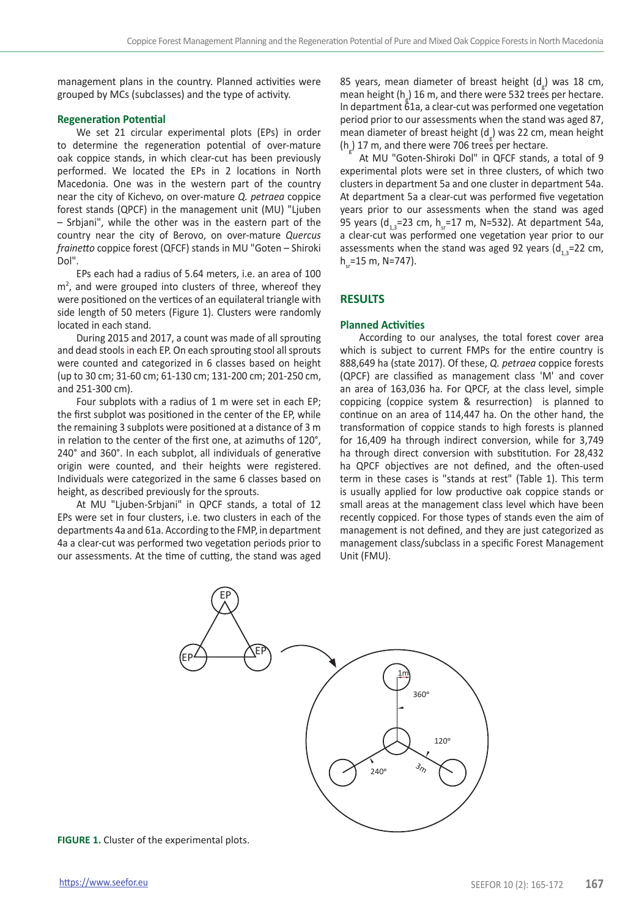management plans in the country. Planned activities were grouped by MCs (subclasses) and the type of activity.

# **Regeneration Potential**

We set 21 circular experimental plots (EPs) in order to determine the regeneration potential of over-mature oak coppice stands, in which clear-cut has been previously performed. We located the EPs in 2 locations in North Macedonia. One was in the western part of the country near the city of Kichevo, on over-mature *Q. petraea* coppice forest stands (QPCF) in the management unit (MU) "Ljuben – Srbjani", while the other was in the eastern part of the country near the city of Berovo, on over-mature *Quercus frainetto* coppice forest (QFCF) stands in MU "Goten – Shiroki Dol".

EPs each had a radius of 5.64 meters, i.e. an area of 100  $m<sup>2</sup>$ , and were grouped into clusters of three, whereof they were positioned on the vertices of an equilateral triangle with side length of 50 meters (Figure 1). Clusters were randomly located in each stand.

During 2015 and 2017, a count was made of all sprouting and dead stools in each EP. On each sprouting stool all sprouts were counted and categorized in 6 classes based on height (up to 30 cm; 31-60 cm; 61-130 cm; 131-200 cm; 201-250 cm, and 251-300 cm).

Four subplots with a radius of 1 m were set in each EP; the first subplot was positioned in the center of the EP, while the remaining 3 subplots were positioned at a distance of 3 m in relation to the center of the first one, at azimuths of 120°, 240° and 360°. In each subplot, all individuals of generative origin were counted, and their heights were registered. Individuals were categorized in the same 6 classes based on height, as described previously for the sprouts.

At MU "Ljuben-Srbjani" in QPCF stands, a total of 12 EPs were set in four clusters, i.e. two clusters in each of the departments 4а and 61а. According to the FMP, in department 4a a clear-cut was performed two vegetation periods prior to our assessments. At the time of cutting, the stand was aged

85 years, mean diameter of breast height  $(d_g)$  was 18 cm, mean height ( $h_{g}$ ) 16 m, and there were 532 trees per hectare. In department 61а, a clear-cut was performed one vegetation period prior to our assessments when the stand was aged 87, mean diameter of breast height  $(d_g)$  was 22 cm, mean height  $(h_g)$  17 m, and there were 706 trees per hectare.

At MU "Goten-Shiroki Dol" in QFCF stands, a total of 9 experimental plots were set in three clusters, of which two clusters in department 5а and one cluster in department 54а. At department 5a a clear-cut was performed five vegetation years prior to our assessments when the stand was aged 95 years (d<sub>13</sub>=23 cm, h<sub>11</sub>=17 m, N=532). At department 54a, a clear-cut was performed one vegetation year prior to our assessments when the stand was aged 92 years  $(d_{1,3}=22 \text{ cm})$ ,  $h = 15 m$ , N=747).

# **RESULTS**

### **Planned Activities**

According to our analyses, the total forest cover area which is subject to current FMPs for the entire country is 888,649 ha (state 2017). Of these, *Q. petraea* coppice forests (QPCF) are classified as management class 'M' and cover an area of 163,036 ha. For QPCF, at the class level, simple coppicing (coppice system & resurrection) is planned to continue on an area of 114,447 ha. On the other hand, the transformation of coppice stands to high forests is planned for 16,409 ha through indirect conversion, while for 3,749 ha through direct conversion with substitution. For 28,432 ha QPCF objectives are not defined, and the often-used term in these cases is "stands at rest" (Table 1). This term is usually applied for low productive oak coppice stands or small areas at the management class level which have been recently coppiced. For those types of stands even the aim of management is not defined, and they are just categorized as management class/subclass in a specific Forest Management Unit (FMU).



**FIGURE 1.** Cluster of the experimental plots.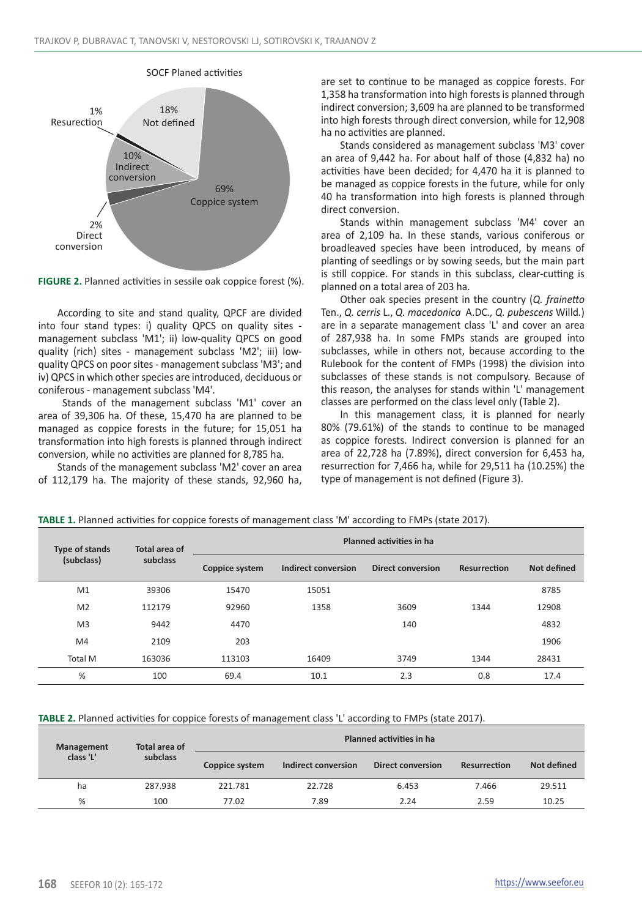SOCF Planed activities



**FIGURE 2.** Planned activities in sessile oak coppice forest (%).

According to site and stand quality, QPCF are divided into four stand types: i) quality QPCS on quality sites management subclass 'M1'; ii) low-quality QPCS on good quality (rich) sites - management subclass 'M2'; iii) lowquality QPCS on poor sites - management subclass 'M3'; and iv) QPCS in which other species are introduced, deciduous or coniferous - management subclass 'M4'.

 Stands of the management subclass 'M1' cover an area of 39,306 ha. Of these, 15,470 ha are planned to be managed as coppice forests in the future; for 15,051 ha transformation into high forests is planned through indirect conversion, while no activities are planned for 8,785 ha.

Stands of the management subclass 'M2' cover an area of 112,179 ha. The majority of these stands, 92,960 ha, are set to continue to be managed as coppice forests. For 1,358 ha transformation into high forests is planned through indirect conversion; 3,609 ha are planned to be transformed into high forests through direct conversion, while for 12,908 ha no activities are planned.

Stands considered as management subclass 'M3' cover an area of 9,442 ha. For about half of those (4,832 ha) no activities have been decided; for 4,470 ha it is planned to be managed as coppice forests in the future, while for only 40 ha transformation into high forests is planned through direct conversion.

Stands within management subclass 'M4' cover an area of 2,109 ha. In these stands, various coniferous or broadleaved species have been introduced, by means of planting of seedlings or by sowing seeds, but the main part is still coppice. For stands in this subclass, clear-cutting is planned on a total area of 203 ha.

Other oak species present in the country (*Q. frainetto*  Ten., *Q. cerris* L., *Q. macedonica* A.DC*., Q. pubescens* Willd*.*) are in a separate management class 'L' and cover an area of 287,938 ha. In some FMPs stands are grouped into subclasses, while in others not, because according to the Rulebook for the content of FMPs (1998) the division into subclasses of these stands is not compulsory. Because of this reason, the analyses for stands within 'L' management classes are performed on the class level only (Table 2).

In this management class, it is planned for nearly 80% (79.61%) of the stands to continue to be managed as coppice forests. Indirect conversion is planned for an area of 22,728 ha (7.89%), direct conversion for 6,453 ha, resurrection for 7,466 ha, while for 29,511 ha (10.25%) the type of management is not defined (Figure 3).

|  |  |  | TABLE 1. Planned activities for coppice forests of management class 'M' according to FMPs (state 2017). |
|--|--|--|---------------------------------------------------------------------------------------------------------|
|--|--|--|---------------------------------------------------------------------------------------------------------|

| <b>Type of stands</b> | Total area of | <b>Planned activities in hall</b> |                     |                          |              |             |  |  |  |
|-----------------------|---------------|-----------------------------------|---------------------|--------------------------|--------------|-------------|--|--|--|
| (subclass)            | subclass      | Coppice system                    | Indirect conversion | <b>Direct conversion</b> | Resurrection | Not defined |  |  |  |
| M1                    | 39306         | 15470                             | 15051               |                          |              | 8785        |  |  |  |
| M <sub>2</sub>        | 112179        | 92960                             | 1358                | 3609                     | 1344         | 12908       |  |  |  |
| M <sub>3</sub>        | 9442          | 4470                              |                     | 140                      |              | 4832        |  |  |  |
| M4                    | 2109          | 203                               |                     |                          |              | 1906        |  |  |  |
| <b>Total M</b>        | 163036        | 113103                            | 16409               | 3749                     | 1344         | 28431       |  |  |  |
| %                     | 100           | 69.4                              | 10.1                | 2.3                      | 0.8          | 17.4        |  |  |  |

**TABLE 2.** Planned activities for coppice forests of management class 'L' according to FMPs (state 2017).

| Management | Total area of | Planned activities in ha |                     |                   |              |             |  |  |  |
|------------|---------------|--------------------------|---------------------|-------------------|--------------|-------------|--|--|--|
| class 'L'  | subclass      | Coppice system           | Indirect conversion | Direct conversion | Resurrection | Not defined |  |  |  |
| ha         | 287.938       | 221.781                  | 22.728              | 6.453             | 7.466        | 29.511      |  |  |  |
| %          | 100           | 77.02                    | 7.89                | 2.24              | 2.59         | 10.25       |  |  |  |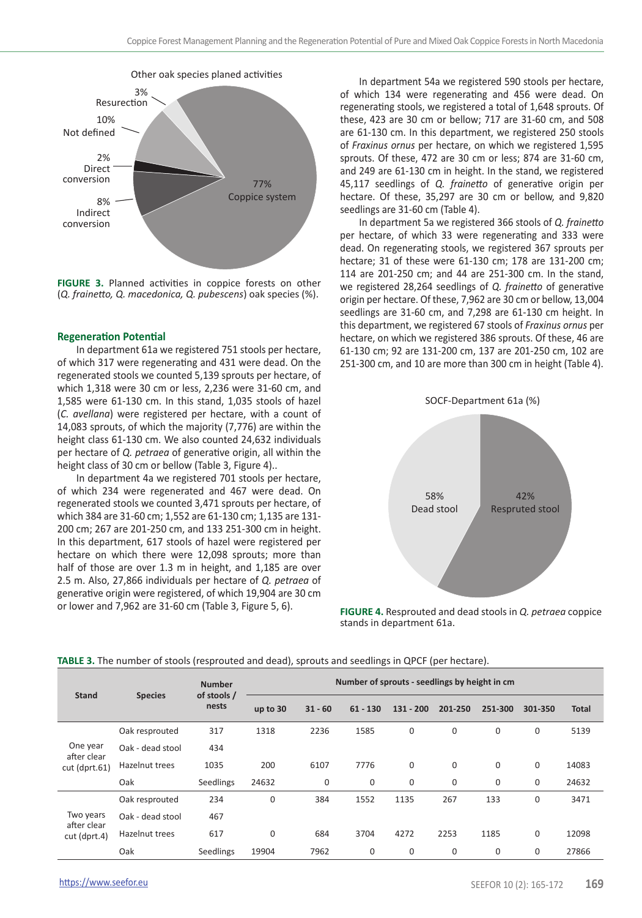

Other oak species planed activities

**FIGURE 3.** Planned activities in coppice forests on other (*Q. frainetto, Q. macedonica, Q. pubescens*) oak species (%).

#### **Regeneration Potential**

In department 61а we registered 751 stools per hectare, of which 317 were regenerating and 431 were dead. On the regenerated stools we counted 5,139 sprouts per hectare, of which 1,318 were 30 cm or less, 2,236 were 31-60 cm, and 1,585 were 61-130 cm. In this stand, 1,035 stools of hazel (*C. avellana*) were registered per hectare, with a count of 14,083 sprouts, of which the majority (7,776) are within the height class 61-130 cm. We also counted 24,632 individuals per hectare of *Q. petraea* of generative origin, all within the height class of 30 cm or bellow (Table 3, Figure 4)..

In department 4a we registered 701 stools per hectare, of which 234 were regenerated and 467 were dead. On regenerated stools we counted 3,471 sprouts per hectare, of which 384 are 31-60 cm; 1,552 are 61-130 cm; 1,135 are 131- 200 cm; 267 are 201-250 cm, and 133 251-300 cm in height. In this department, 617 stools of hazel were registered per hectare on which there were 12,098 sprouts; more than half of those are over 1.3 m in height, and 1,185 are over 2.5 m. Also, 27,866 individuals per hectare of *Q. petraea* of generative origin were registered, of which 19,904 are 30 cm or lower and 7,962 are 31-60 cm (Table 3, Figure 5, 6).

In department 54a we registered 590 stools per hectare, of which 134 were regenerating and 456 were dead. On regenerating stools, we registered a total of 1,648 sprouts. Of these, 423 are 30 cm or bellow; 717 are 31-60 cm, and 508 are 61-130 cm. In this department, we registered 250 stools of *Fraxinus ornus* per hectare, on which we registered 1,595 sprouts. Of these, 472 are 30 cm or less; 874 are 31-60 cm, and 249 are 61-130 cm in height. In the stand, we registered 45,117 seedlings of *Q. frainetto* of generative origin per hectare. Of these, 35,297 are 30 cm or bellow, and 9,820 seedlings are 31-60 cm (Table 4).

In department 5а we registered 366 stools of *Q. frainetto* per hectare, of which 33 were regenerating and 333 were dead. On regenerating stools, we registered 367 sprouts per hectare; 31 of these were 61-130 cm; 178 are 131-200 cm; 114 are 201-250 cm; and 44 are 251-300 cm. In the stand, we registered 28,264 seedlings of *Q. frainetto* of generative origin per hectare. Of these, 7,962 are 30 cm or bellow, 13,004 seedlings are 31-60 cm, and 7,298 are 61-130 cm height. In this department, we registered 67 stools of *Fraxinus ornus* per hectare, on which we registered 386 sprouts. Of these, 46 are 61-130 cm; 92 are 131-200 cm, 137 are 201-250 cm, 102 are 251-300 cm, and 10 are more than 300 cm in height (Table 4).



**FIGURE 4.** Resprouted and dead stools in *Q. petraea* coppice stands in department 61a.

| <b>Stand</b><br>One year<br>after clear<br>cut (dprt.61) | <b>Species</b>   | <b>Number</b><br>of stools /<br>nests | Number of sprouts - seedlings by height in cm |           |             |             |              |         |         |              |
|----------------------------------------------------------|------------------|---------------------------------------|-----------------------------------------------|-----------|-------------|-------------|--------------|---------|---------|--------------|
|                                                          |                  |                                       | up to 30                                      | $31 - 60$ | $61 - 130$  | $131 - 200$ | 201-250      | 251-300 | 301-350 | <b>Total</b> |
|                                                          | Oak resprouted   | 317                                   | 1318                                          | 2236      | 1585        | 0           | $\mathbf 0$  | 0       | 0       | 5139         |
|                                                          | Oak - dead stool | 434                                   |                                               |           |             |             |              |         |         |              |
|                                                          | Hazelnut trees   | 1035                                  | 200                                           | 6107      | 7776        | 0           | $\mathbf{0}$ | 0       | 0       | 14083        |
|                                                          | Oak              | Seedlings                             | 24632                                         | 0         | $\mathbf 0$ | 0           | 0            | 0       | 0       | 24632        |
| Two years<br>after clear<br>cut (dprt.4)                 | Oak resprouted   | 234                                   | 0                                             | 384       | 1552        | 1135        | 267          | 133     | 0       | 3471         |
|                                                          | Oak - dead stool | 467                                   |                                               |           |             |             |              |         |         |              |
|                                                          | Hazelnut trees   | 617                                   | 0                                             | 684       | 3704        | 4272        | 2253         | 1185    | 0       | 12098        |
|                                                          | Oak              | Seedlings                             | 19904                                         | 7962      | 0           | 0           | $\mathbf 0$  | 0       | 0       | 27866        |

#### **TABLE 3.** The number of stools (resprouted and dead), sprouts and seedlings in QPCF (per hectare).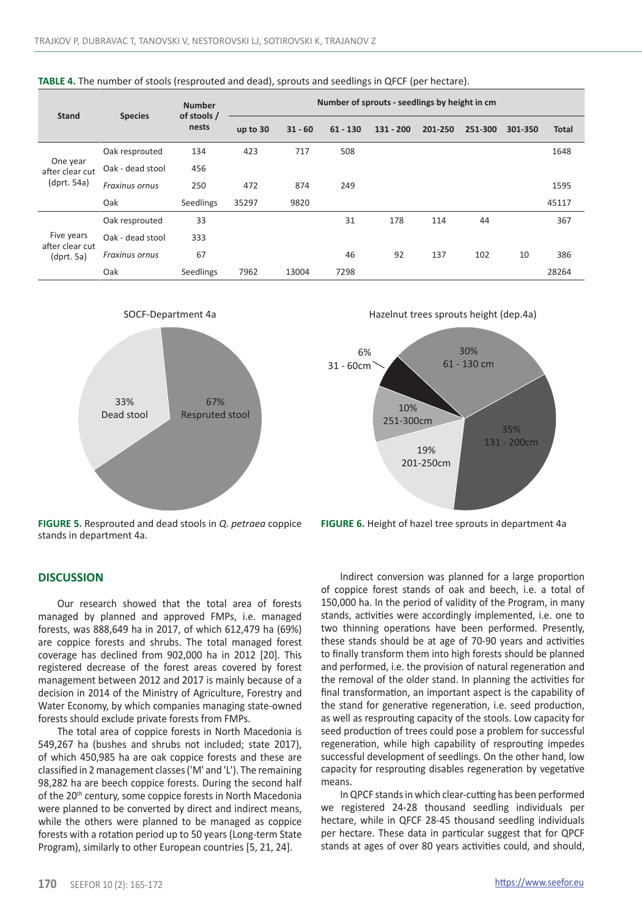| Stand                                            | <b>Species</b>        | <b>Number</b><br>of stools /<br>nests | Number of sprouts - seedlings by height in cm |           |            |             |         |         |         |              |
|--------------------------------------------------|-----------------------|---------------------------------------|-----------------------------------------------|-----------|------------|-------------|---------|---------|---------|--------------|
|                                                  |                       |                                       | up to 30                                      | $31 - 60$ | $61 - 130$ | $131 - 200$ | 201-250 | 251-300 | 301-350 | <b>Total</b> |
| One year<br>after clear cut<br>$(d$ prt. 54a $)$ | Oak resprouted        | 134                                   | 423                                           | 717       | 508        |             |         |         |         | 1648         |
|                                                  | Oak - dead stool      | 456                                   |                                               |           |            |             |         |         |         |              |
|                                                  | Fraxinus ornus        | 250                                   | 472                                           | 874       | 249        |             |         |         |         | 1595         |
|                                                  | Oak                   | Seedlings                             | 35297                                         | 9820      |            |             |         |         |         | 45117        |
| Five years<br>after clear cut<br>(dprt. 5a)      | Oak resprouted        | 33                                    |                                               |           | 31         | 178         | 114     | 44      |         | 367          |
|                                                  | Oak - dead stool      | 333                                   |                                               |           |            |             |         |         |         |              |
|                                                  | <b>Fraxinus ornus</b> | 67                                    |                                               |           | 46         | 92          | 137     | 102     | 10      | 386          |
|                                                  | Oak                   | Seedlings                             | 7962                                          | 13004     | 7298       |             |         |         |         | 28264        |







**FIGURE 5.** Resprouted and dead stools in *Q. petraea* coppice stands in department 4a.

6%



30%

**FIGURE 6.** Height of hazel tree sprouts in department 4a

### **DISCUSSION**

Our research showed that the total area of forests managed by planned and approved FMPs, i.e. managed forests, was 888,649 ha in 2017, of which 612,479 ha (69%) are coppice forests and shrubs. The total managed forest coverage has declined from 902,000 ha in 2012 [20]. This registered decrease of the forest areas covered by forest management between 2012 and 2017 is mainly because of a decision in 2014 of the Ministry of Agriculture, Forestry and Water Economy, by which companies managing state-owned forests should exclude private forests from FMPs.

The total area of coppice forests in North Macedonia is 549,267 ha (bushes and shrubs not included; state 2017), of which 450,985 ha are oak coppice forests and these are classified in 2 management classes ('M' and 'L'). The remaining 98,282 ha are beech coppice forests. During the second half of the 20<sup>th</sup> century, some coppice forests in North Macedonia were planned to be converted by direct and indirect means, while the others were planned to be managed as coppice forests with a rotation period up to 50 years (Long-term State Program), similarly to other European countries [5, 21, 24].

Indirect conversion was planned for a large proportion of coppice forest stands of oak and beech, i.e. a total of 150,000 ha. In the period of validity of the Program, in many stands, activities were accordingly implemented, i.e. one to two thinning operations have been performed. Presently, these stands should be at age of 70-90 years and activities to finally transform them into high forests should be planned and performed, i.e. the provision of natural regeneration and the removal of the older stand. In planning the activities for final transformation, an important aspect is the capability of the stand for generative regeneration, i.e. seed production, as well as resprouting capacity of the stools. Low capacity for seed production of trees could pose a problem for successful regeneration, while high capability of resprouting impedes successful development of seedlings. On the other hand, low capacity for resprouting disables regeneration by vegetative means.

In QPCF stands in which clear-cutting has been performed we registered 24-28 thousand seedling individuals per hectare, while in QFCF 28-45 thousand seedling individuals per hectare. These data in particular suggest that for QPCF stands at ages of over 80 years activities could, and should,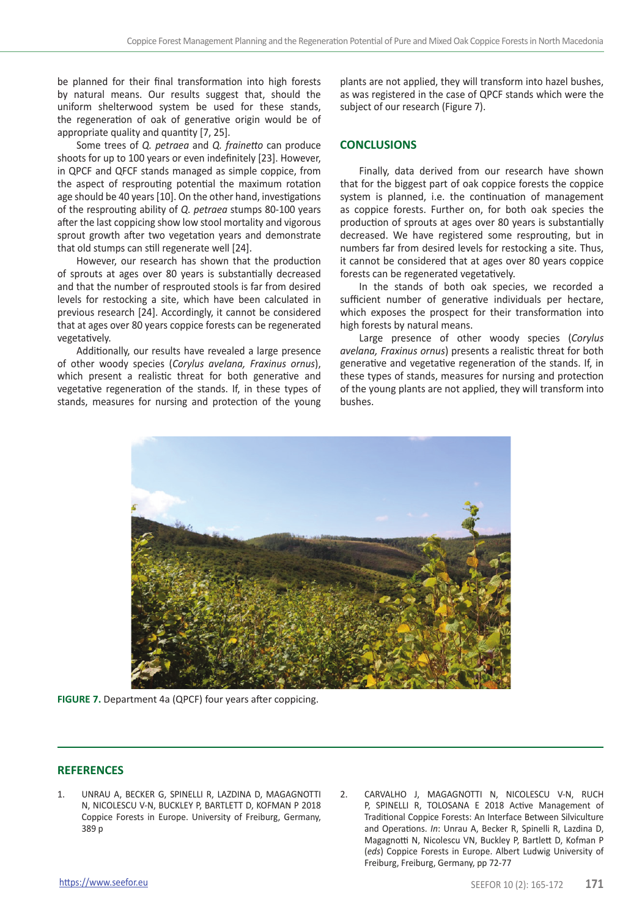be planned for their final transformation into high forests by natural means. Our results suggest that, should the uniform shelterwood system be used for these stands, the regeneration of oak of generative origin would be of appropriate quality and quantity [7, 25].

Some trees of *Q. petraea* and *Q. frainetto* can produce shoots for up to 100 years or even indefinitely [23]. However, in QPCF and QFCF stands managed as simple coppice, from the aspect of resprouting potential the maximum rotation age should be 40 years [10]. On the other hand, investigations of the resprouting ability of *Q. petraea* stumps 80-100 years after the last coppicing show low stool mortality and vigorous sprout growth after two vegetation years and demonstrate that old stumps can still regenerate well [24].

However, our research has shown that the production of sprouts at ages over 80 years is substantially decreased and that the number of resprouted stools is far from desired levels for restocking a site, which have been calculated in previous research [24]. Accordingly, it cannot be considered that at ages over 80 years coppice forests can be regenerated vegetatively.

Additionally, our results have revealed a large presence of other woody species (*Corylus avelana, Fraxinus ornus*), which present a realistic threat for both generative and vegetative regeneration of the stands. If, in these types of stands, measures for nursing and protection of the young plants are not applied, they will transform into hazel bushes, as was registered in the case of QPCF stands which were the subject of our research (Figure 7).

# **CONCLUSIONS**

Finally, data derived from our research have shown that for the biggest part of oak coppice forests the coppice system is planned, i.e. the continuation of management as coppice forests. Further on, for both oak species the production of sprouts at ages over 80 years is substantially decreased. We have registered some resprouting, but in numbers far from desired levels for restocking a site. Thus, it cannot be considered that at ages over 80 years coppice forests can be regenerated vegetatively.

In the stands of both oak species, we recorded a sufficient number of generative individuals per hectare, which exposes the prospect for their transformation into high forests by natural means.

Large presence of other woody species (*Corylus avelana, Fraxinus ornus*) presents a realistic threat for both generative and vegetative regeneration of the stands. If, in these types of stands, measures for nursing and protection of the young plants are not applied, they will transform into bushes.



**FIGURE 7.** Department 4a (QPCF) four years after coppicing.

# **REFERENCES**

- 1. UNRAU A, BECKER G, SPINELLI R, LAZDINA D, MAGAGNOTTI N, NICOLESCU V-N, BUCKLEY P, BARTLETT D, KOFMAN P 2018 Coppice Forests in Europe. University of Freiburg, Germany, 389 p
- 2. CARVALHO J, MAGAGNOTTI N, NICOLESCU V-N, RUCH P, SPINELLI R, TOLOSANA E 2018 Active Management of Traditional Coppice Forests: An Interface Between Silviculture and Operations. *In*: Unrau A, Becker R, Spinelli R, Lazdina D, Magagnotti N, Nicolescu VN, Buckley P, Bartlett D, Kofman P (*eds*) Coppice Forests in Europe. Albert Ludwig University of Freiburg, Freiburg, Germany, pp 72-77